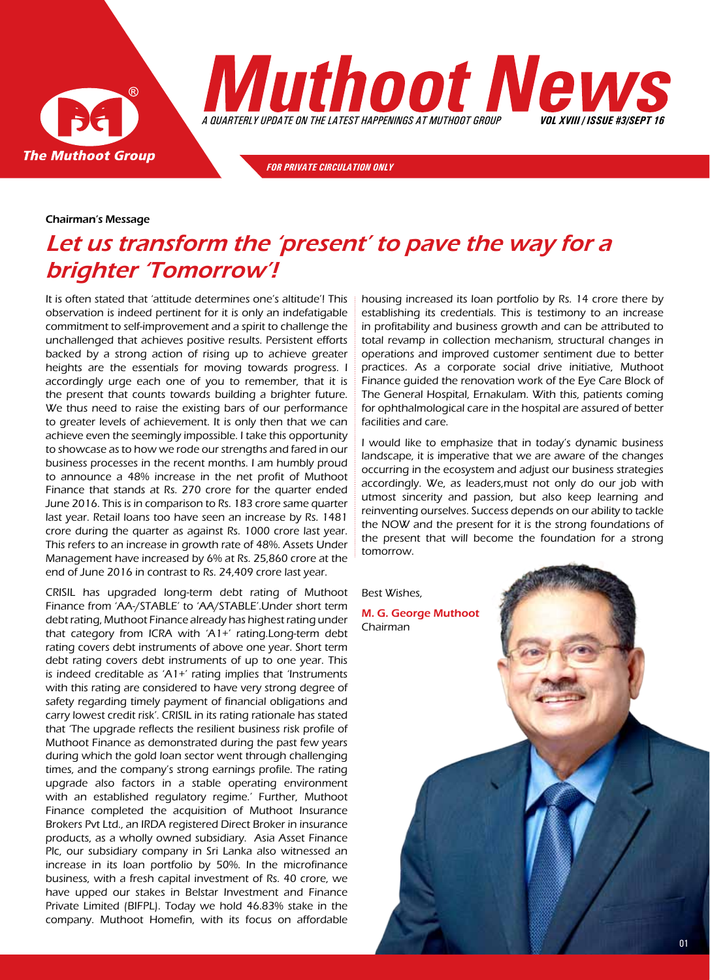



*for private circulation only*

#### Chairman's Message

# Let us transform the 'present' to pave the way for a brighter 'Tomorrow'!

It is often stated that 'attitude determines one's altitude'! This observation is indeed pertinent for it is only an indefatigable commitment to self-improvement and a spirit to challenge the unchallenged that achieves positive results. Persistent efforts backed by a strong action of rising up to achieve greater heights are the essentials for moving towards progress. I accordingly urge each one of you to remember, that it is the present that counts towards building a brighter future. We thus need to raise the existing bars of our performance to greater levels of achievement. It is only then that we can achieve even the seemingly impossible. I take this opportunity to showcase as to how we rode our strengths and fared in our business processes in the recent months. I am humbly proud to announce a 48% increase in the net profit of Muthoot Finance that stands at Rs. 270 crore for the quarter ended June 2016. This is in comparison to Rs. 183 crore same quarter last year. Retail loans too have seen an increase by Rs. 1481 crore during the quarter as against Rs. 1000 crore last year. This refers to an increase in growth rate of 48%. Assets Under Management have increased by 6% at Rs. 25,860 crore at the end of June 2016 in contrast to Rs. 24,409 crore last year.

CRISIL has upgraded long-term debt rating of Muthoot Finance from 'AA-/STABLE' to 'AA/STABLE'.Under short term debt rating, Muthoot Finance already has highest rating under that category from ICRA with 'A1+' rating.Long-term debt rating covers debt instruments of above one year. Short term debt rating covers debt instruments of up to one year. This is indeed creditable as 'A1+' rating implies that 'Instruments with this rating are considered to have very strong degree of safety regarding timely payment of financial obligations and carry lowest credit risk'. CRISIL in its rating rationale has stated that 'The upgrade reflects the resilient business risk profile of Muthoot Finance as demonstrated during the past few years during which the gold loan sector went through challenging times, and the company's strong earnings profile. The rating upgrade also factors in a stable operating environment with an established regulatory regime.' Further, Muthoot Finance completed the acquisition of Muthoot Insurance Brokers Pvt Ltd., an IRDA registered Direct Broker in insurance products, as a wholly owned subsidiary. Asia Asset Finance Plc, our subsidiary company in Sri Lanka also witnessed an increase in its loan portfolio by 50%. In the microfinance business, with a fresh capital investment of Rs. 40 crore, we have upped our stakes in Belstar Investment and Finance Private Limited (BIFPL). Today we hold 46.83% stake in the company. Muthoot Homefin, with its focus on affordable

housing increased its loan portfolio by Rs. 14 crore there by establishing its credentials. This is testimony to an increase in profitability and business growth and can be attributed to total revamp in collection mechanism, structural changes in operations and improved customer sentiment due to better practices. As a corporate social drive initiative, Muthoot Finance guided the renovation work of the Eye Care Block of The General Hospital, Ernakulam. With this, patients coming for ophthalmological care in the hospital are assured of better facilities and care.

I would like to emphasize that in today's dynamic business landscape, it is imperative that we are aware of the changes occurring in the ecosystem and adjust our business strategies accordingly. We, as leaders,must not only do our job with utmost sincerity and passion, but also keep learning and reinventing ourselves. Success depends on our ability to tackle the NOW and the present for it is the strong foundations of the present that will become the foundation for a strong tomorrow.

Best Wishes, M. G. George Muthoot Chairman

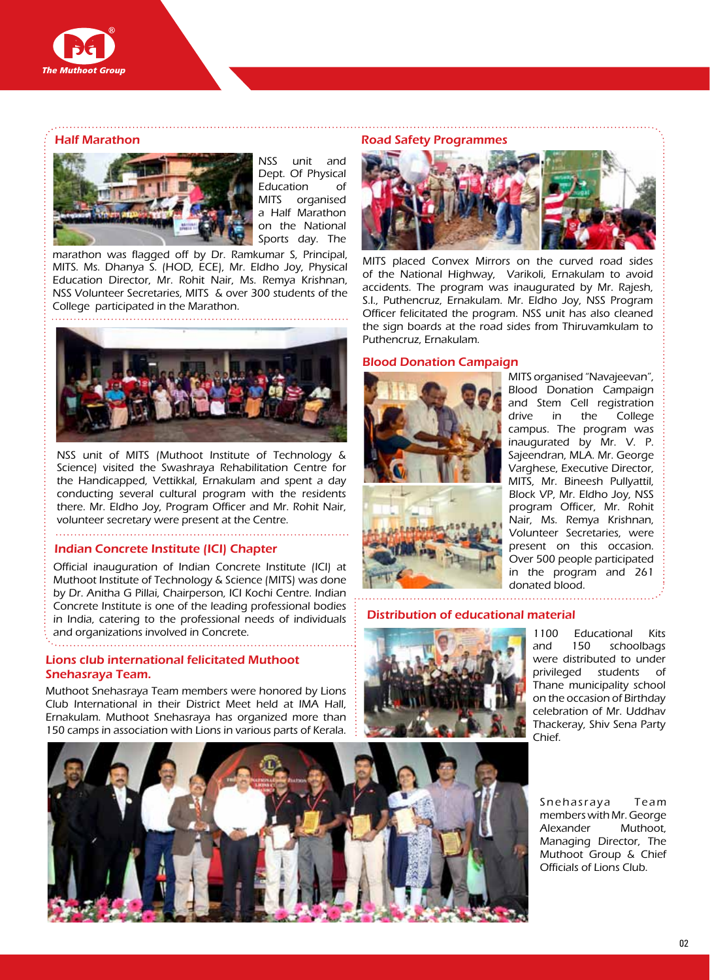

## Half Marathon



NSS unit and Dept. Of Physical Education of MITS organised a Half Marathon on the National Sports day. The

marathon was flagged off by Dr. Ramkumar S, Principal, MITS. Ms. Dhanya S. (HOD, ECE), Mr. Eldho Joy, Physical Education Director, Mr. Rohit Nair, Ms. Remya Krishnan, NSS Volunteer Secretaries, MITS & over 300 students of the College participated in the Marathon.



NSS unit of MITS (Muthoot Institute of Technology & Science) visited the Swashraya Rehabilitation Centre for the Handicapped, Vettikkal, Ernakulam and spent a day conducting several cultural program with the residents there. Mr. Eldho Joy, Program Officer and Mr. Rohit Nair, volunteer secretary were present at the Centre.

#### Indian Concrete Institute (ICI) Chapter

Official inauguration of Indian Concrete Institute (ICI) at Muthoot Institute of Technology & Science (MITS) was done by Dr. Anitha G Pillai, Chairperson, ICI Kochi Centre. Indian Concrete Institute is one of the leading professional bodies in India, catering to the professional needs of individuals and organizations involved in Concrete.

## Lions club international felicitated Muthoot Snehasraya Team.

Muthoot Snehasraya Team members were honored by Lions Club International in their District Meet held at IMA Hall, Ernakulam. Muthoot Snehasraya has organized more than 150 camps in association with Lions in various parts of Kerala.



#### Road Safety Programmes



MITS placed Convex Mirrors on the curved road sides of the National Highway, Varikoli, Ernakulam to avoid accidents. The program was inaugurated by Mr. Rajesh, S.I., Puthencruz, Ernakulam. Mr. Eldho Joy, NSS Program Officer felicitated the program. NSS unit has also cleaned the sign boards at the road sides from Thiruvamkulam to Puthencruz, Ernakulam.

#### Blood Donation Campaign



MITS organised "Navajeevan", Blood Donation Campaign and Stem Cell registration drive in the College campus. The program was inaugurated by Mr. V. P. Sajeendran, MLA. Mr. George Varghese, Executive Director, MITS, Mr. Bineesh Pullyattil, Block VP, Mr. Eldho Joy, NSS program Officer, Mr. Rohit Nair, Ms. Remya Krishnan, Volunteer Secretaries, were present on this occasion. Over 500 people participated in the program and 261 donated blood.

### Distribution of educational material



1100 Educational Kits and 150 schoolbags were distributed to under privileged students of Thane municipality school on the occasion of Birthday celebration of Mr. Uddhav Thackeray, Shiv Sena Party Chief.

Snehasraya Team members with Mr. George Alexander Muthoot, Managing Director, The Muthoot Group & Chief Officials of Lions Club.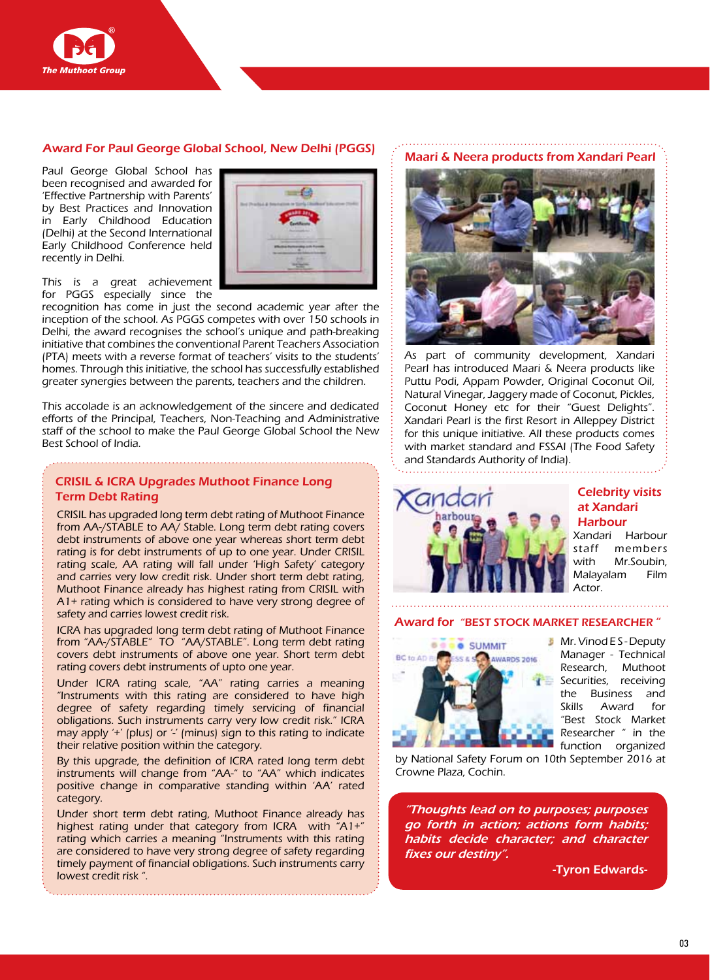

## Award For Paul George Global School, New Delhi (PGGS)

Paul George Global School has been recognised and awarded for 'Effective Partnership with Parents' by Best Practices and Innovation in Early Childhood Education (Delhi) at the Second International Early Childhood Conference held recently in Delhi.



This is a great achievement for PGGS especially since the

recognition has come in just the second academic year after the inception of the school. As PGGS competes with over 150 schools in Delhi, the award recognises the school's unique and path-breaking initiative that combines the conventional Parent Teachers Association (PTA) meets with a reverse format of teachers' visits to the students' homes. Through this initiative, the school has successfully established greater synergies between the parents, teachers and the children.

This accolade is an acknowledgement of the sincere and dedicated efforts of the Principal, Teachers, Non-Teaching and Administrative staff of the school to make the Paul George Global School the New Best School of India.

# CRISIL & ICRA Upgrades Muthoot Finance Long Term Debt Rating

CRISIL has upgraded long term debt rating of Muthoot Finance from AA-/STABLE to AA/ Stable. Long term debt rating covers debt instruments of above one year whereas short term debt rating is for debt instruments of up to one year. Under CRISIL rating scale, AA rating will fall under 'High Safety' category and carries very low credit risk. Under short term debt rating, Muthoot Finance already has highest rating from CRISIL with A1+ rating which is considered to have very strong degree of safety and carries lowest credit risk.

ICRA has upgraded long term debt rating of Muthoot Finance from "AA-/STABLE" TO "AA/STABLE". Long term debt rating covers debt instruments of above one year. Short term debt rating covers debt instruments of upto one year.

Under ICRA rating scale, "AA" rating carries a meaning "Instruments with this rating are considered to have high degree of safety regarding timely servicing of financial obligations. Such instruments carry very low credit risk." ICRA may apply '+' (plus) or '-' (minus) sign to this rating to indicate their relative position within the category.

By this upgrade, the definition of ICRA rated long term debt instruments will change from "AA-" to "AA" which indicates positive change in comparative standing within 'AA' rated category.

Under short term debt rating, Muthoot Finance already has highest rating under that category from ICRA with "A1+" rating which carries a meaning "Instruments with this rating are considered to have very strong degree of safety regarding timely payment of financial obligations. Such instruments carry lowest credit risk ".

# Maari & Neera products from Xandari Pearl



As part of community development, Xandari Pearl has introduced Maari & Neera products like Puttu Podi, Appam Powder, Original Coconut Oil, Natural Vinegar, Jaggery made of Coconut, Pickles, Coconut Honey etc for their "Guest Delights". Xandari Pearl is the first Resort in Alleppey District for this unique initiative. All these products comes with market standard and FSSAI (The Food Safety and Standards Authority of India).



## Celebrity visits at Xandari Harbour

Xandari Harbour staff members with Mr.Soubin, Malayalam Film Actor.

## Award for "BEST STOCK MARKET RESEARCHER "



**Mr. Vinod E S - Deputy** Manager - Technical Research, Muthoot Securities, receiving the Business and Skills Award for "Best Stock Market Researcher " in the function organized

by National Safety Forum on 10th September 2016 at Crowne Plaza, Cochin.

"Thoughts lead on to purposes; purposes go forth in action; actions form habits; habits decide character; and character fixes our destiny".

-Tyron Edwards-